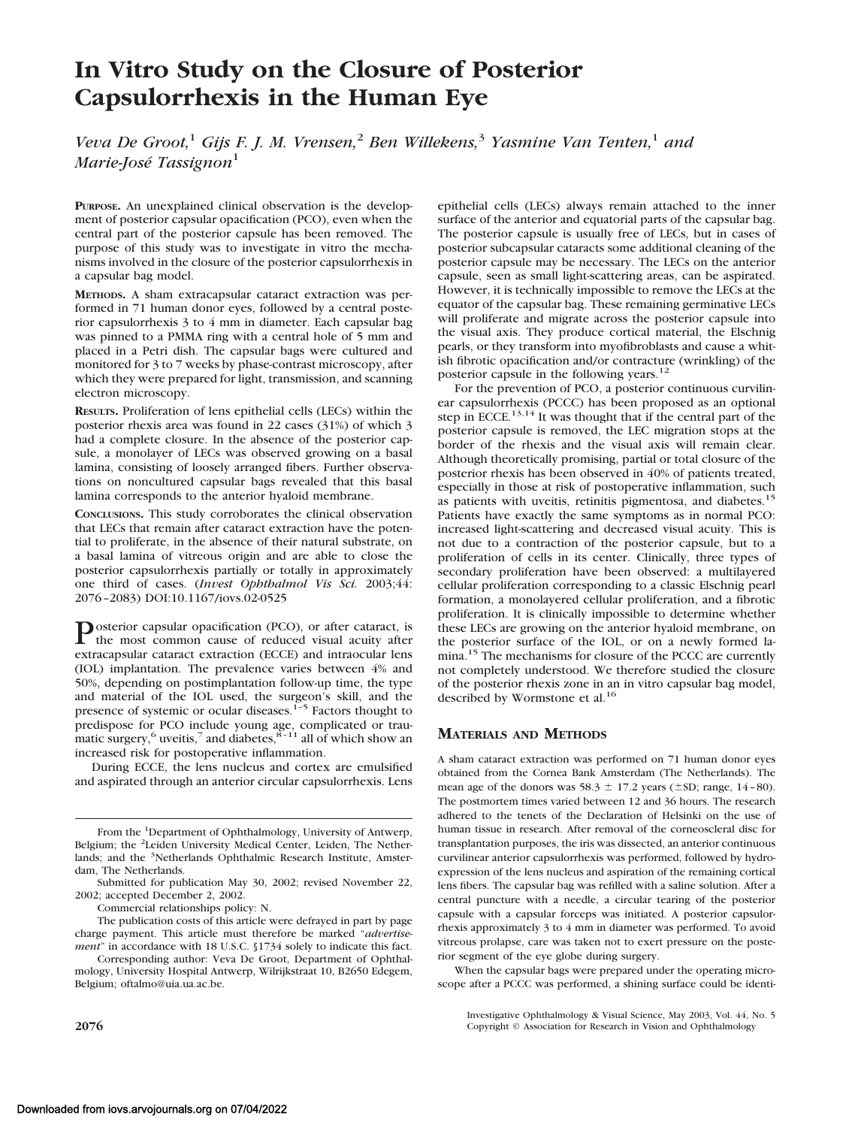# **In Vitro Study on the Closure of Posterior Capsulorrhexis in the Human Eye**

*Veva De Groot,*<sup>1</sup> *Gijs F. J. M. Vrensen,*<sup>2</sup> *Ben Willekens,*<sup>3</sup> *Yasmine Van Tenten,*<sup>1</sup> *and Marie-Jose´ Tassignon*<sup>1</sup>

**PURPOSE.** An unexplained clinical observation is the development of posterior capsular opacification (PCO), even when the central part of the posterior capsule has been removed. The purpose of this study was to investigate in vitro the mechanisms involved in the closure of the posterior capsulorrhexis in a capsular bag model.

**METHODS.** A sham extracapsular cataract extraction was performed in 71 human donor eyes, followed by a central posterior capsulorrhexis 3 to 4 mm in diameter. Each capsular bag was pinned to a PMMA ring with a central hole of 5 mm and placed in a Petri dish. The capsular bags were cultured and monitored for 3 to 7 weeks by phase-contrast microscopy, after which they were prepared for light, transmission, and scanning electron microscopy.

**RESULTS.** Proliferation of lens epithelial cells (LECs) within the posterior rhexis area was found in 22 cases (31%) of which 3 had a complete closure. In the absence of the posterior capsule, a monolayer of LECs was observed growing on a basal lamina, consisting of loosely arranged fibers. Further observations on noncultured capsular bags revealed that this basal lamina corresponds to the anterior hyaloid membrane.

**CONCLUSIONS.** This study corroborates the clinical observation that LECs that remain after cataract extraction have the potential to proliferate, in the absence of their natural substrate, on a basal lamina of vitreous origin and are able to close the posterior capsulorrhexis partially or totally in approximately one third of cases. (*Invest Ophthalmol Vis Sci.* 2003;44: 2076–2083) DOI:10.1167/iovs.02-0525

**P**osterior capsular opacification (PCO), or after cataract, is<br>the most common cause the most common cause of reduced visual acuity after extracapsular cataract extraction (ECCE) and intraocular lens (IOL) implantation. The prevalence varies between 4% and 50%, depending on postimplantation follow-up time, the type and material of the IOL used, the surgeon's skill, and the presence of systemic or ocular diseases.<sup>1-5</sup> Factors thought to predispose for PCO include young age, complicated or trau-<br>matic surgery,<sup>6</sup> uveitis,<sup>7</sup> and diabetes,<sup>8-11</sup> all of which show an increased risk for postoperative inflammation.

During ECCE, the lens nucleus and cortex are emulsified and aspirated through an anterior circular capsulorrhexis. Lens

Commercial relationships policy: N.

Corresponding author: Veva De Groot, Department of Ophthalmology, University Hospital Antwerp, Wilrijkstraat 10, B2650 Edegem, Belgium; oftalmo@uia.ua.ac.be.

epithelial cells (LECs) always remain attached to the inner surface of the anterior and equatorial parts of the capsular bag. The posterior capsule is usually free of LECs, but in cases of posterior subcapsular cataracts some additional cleaning of the posterior capsule may be necessary. The LECs on the anterior capsule, seen as small light-scattering areas, can be aspirated. However, it is technically impossible to remove the LECs at the equator of the capsular bag. These remaining germinative LECs will proliferate and migrate across the posterior capsule into the visual axis. They produce cortical material, the Elschnig pearls, or they transform into myofibroblasts and cause a whitish fibrotic opacification and/or contracture (wrinkling) of the posterior capsule in the following years.<sup>12</sup>

For the prevention of PCO, a posterior continuous curvilinear capsulorrhexis (PCCC) has been proposed as an optional step in ECCE.<sup>13,14</sup> It was thought that if the central part of the posterior capsule is removed, the LEC migration stops at the border of the rhexis and the visual axis will remain clear. Although theoretically promising, partial or total closure of the posterior rhexis has been observed in 40% of patients treated, especially in those at risk of postoperative inflammation, such as patients with uveitis, retinitis pigmentosa, and diabetes.<sup>15</sup> Patients have exactly the same symptoms as in normal PCO: increased light-scattering and decreased visual acuity. This is not due to a contraction of the posterior capsule, but to a proliferation of cells in its center. Clinically, three types of secondary proliferation have been observed: a multilayered cellular proliferation corresponding to a classic Elschnig pearl formation, a monolayered cellular proliferation, and a fibrotic proliferation. It is clinically impossible to determine whether these LECs are growing on the anterior hyaloid membrane, on the posterior surface of the IOL, or on a newly formed lamina.<sup>15</sup> The mechanisms for closure of the PCCC are currently not completely understood. We therefore studied the closure of the posterior rhexis zone in an in vitro capsular bag model, described by Wormstone et al.<sup>16</sup>

## **MATERIALS AND METHODS**

A sham cataract extraction was performed on 71 human donor eyes obtained from the Cornea Bank Amsterdam (The Netherlands). The mean age of the donors was  $58.3 \pm 17.2$  years ( $\pm$ SD; range, 14–80). The postmortem times varied between 12 and 36 hours. The research adhered to the tenets of the Declaration of Helsinki on the use of human tissue in research. After removal of the corneoscleral disc for transplantation purposes, the iris was dissected, an anterior continuous curvilinear anterior capsulorrhexis was performed, followed by hydroexpression of the lens nucleus and aspiration of the remaining cortical lens fibers. The capsular bag was refilled with a saline solution. After a central puncture with a needle, a circular tearing of the posterior capsule with a capsular forceps was initiated. A posterior capsulorrhexis approximately 3 to 4 mm in diameter was performed. To avoid vitreous prolapse, care was taken not to exert pressure on the posterior segment of the eye globe during surgery.

When the capsular bags were prepared under the operating microscope after a PCCC was performed, a shining surface could be identi-

Investigative Ophthalmology & Visual Science, May 2003, Vol. 44, No. 5 **2076 Copyright © Association for Research in Vision and Ophthalmology** 

From the <sup>1</sup>Department of Ophthalmology, University of Antwerp, Belgium; the <sup>2</sup>Leiden University Medical Center, Leiden, The Netherlands; and the <sup>3</sup>Netherlands Ophthalmic Research Institute, Amsterdam, The Netherlands.

Submitted for publication May 30, 2002; revised November 22, 2002; accepted December 2, 2002.

The publication costs of this article were defrayed in part by page charge payment. This article must therefore be marked "*advertisement*" in accordance with 18 U.S.C. §1734 solely to indicate this fact.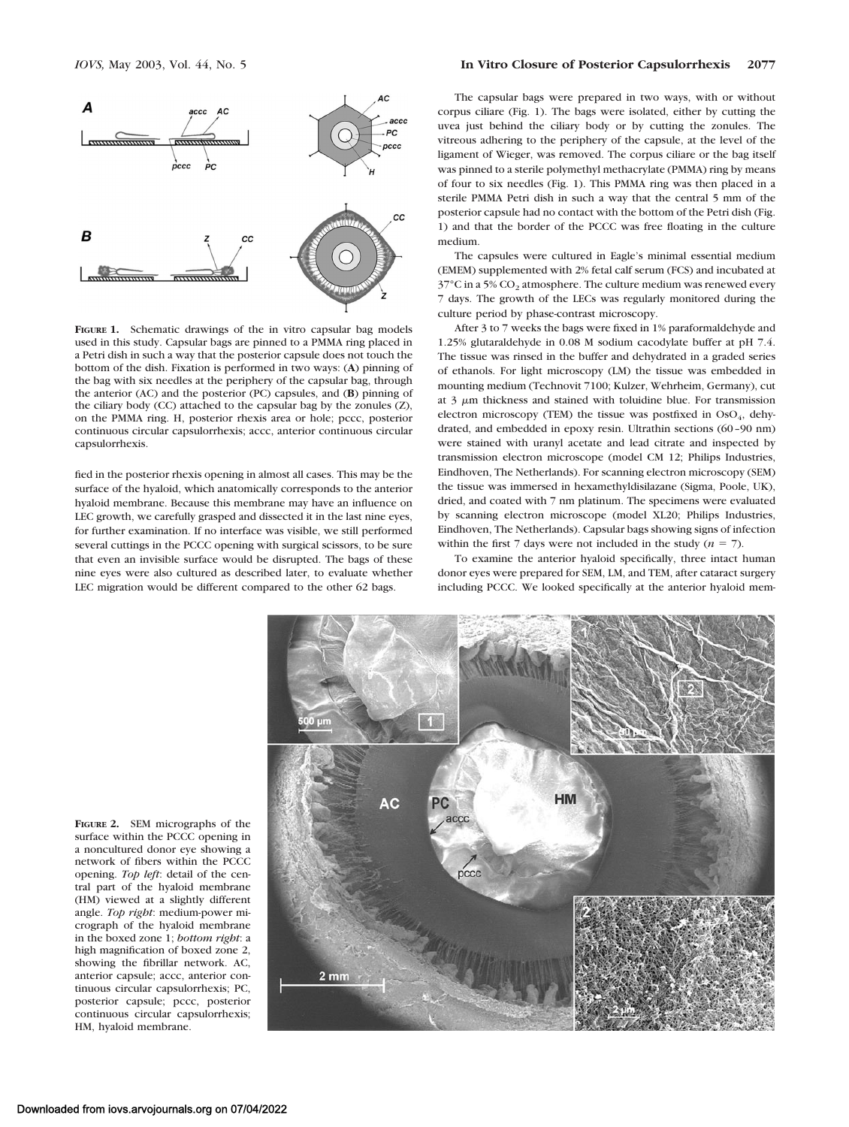

**FIGURE 1.** Schematic drawings of the in vitro capsular bag models used in this study. Capsular bags are pinned to a PMMA ring placed in a Petri dish in such a way that the posterior capsule does not touch the bottom of the dish. Fixation is performed in two ways: (**A**) pinning of the bag with six needles at the periphery of the capsular bag, through the anterior (AC) and the posterior (PC) capsules, and (**B**) pinning of the ciliary body (CC) attached to the capsular bag by the zonules (Z), on the PMMA ring. H, posterior rhexis area or hole; pccc, posterior continuous circular capsulorrhexis; accc, anterior continuous circular capsulorrhexis.

fied in the posterior rhexis opening in almost all cases. This may be the surface of the hyaloid, which anatomically corresponds to the anterior hyaloid membrane. Because this membrane may have an influence on LEC growth, we carefully grasped and dissected it in the last nine eyes, for further examination. If no interface was visible, we still performed several cuttings in the PCCC opening with surgical scissors, to be sure that even an invisible surface would be disrupted. The bags of these nine eyes were also cultured as described later, to evaluate whether LEC migration would be different compared to the other 62 bags.

#### *IOVS,* May 2003, Vol. 44, No. 5 **In Vitro Closure of Posterior Capsulorrhexis 2077**

The capsular bags were prepared in two ways, with or without corpus ciliare (Fig. 1). The bags were isolated, either by cutting the uvea just behind the ciliary body or by cutting the zonules. The vitreous adhering to the periphery of the capsule, at the level of the ligament of Wieger, was removed. The corpus ciliare or the bag itself was pinned to a sterile polymethyl methacrylate (PMMA) ring by means of four to six needles (Fig. 1). This PMMA ring was then placed in a sterile PMMA Petri dish in such a way that the central 5 mm of the posterior capsule had no contact with the bottom of the Petri dish (Fig. 1) and that the border of the PCCC was free floating in the culture medium.

The capsules were cultured in Eagle's minimal essential medium (EMEM) supplemented with 2% fetal calf serum (FCS) and incubated at  $37^{\circ}$ C in a 5% CO<sub>2</sub> atmosphere. The culture medium was renewed every 7 days. The growth of the LECs was regularly monitored during the culture period by phase-contrast microscopy.

After 3 to 7 weeks the bags were fixed in 1% paraformaldehyde and 1.25% glutaraldehyde in 0.08 M sodium cacodylate buffer at pH 7.4. The tissue was rinsed in the buffer and dehydrated in a graded series of ethanols. For light microscopy (LM) the tissue was embedded in mounting medium (Technovit 7100; Kulzer, Wehrheim, Germany), cut at  $3 \mu m$  thickness and stained with toluidine blue. For transmission electron microscopy (TEM) the tissue was postfixed in  $OsO<sub>4</sub>$ , dehydrated, and embedded in epoxy resin. Ultrathin sections (60–90 nm) were stained with uranyl acetate and lead citrate and inspected by transmission electron microscope (model CM 12; Philips Industries, Eindhoven, The Netherlands). For scanning electron microscopy (SEM) the tissue was immersed in hexamethyldisilazane (Sigma, Poole, UK), dried, and coated with 7 nm platinum. The specimens were evaluated by scanning electron microscope (model XL20; Philips Industries, Eindhoven, The Netherlands). Capsular bags showing signs of infection within the first  $7$  days were not included in the study  $(n = 7)$ .

To examine the anterior hyaloid specifically, three intact human donor eyes were prepared for SEM, LM, and TEM, after cataract surgery including PCCC. We looked specifically at the anterior hyaloid mem-



**FIGURE 2.** SEM micrographs of the surface within the PCCC opening in a noncultured donor eye showing a network of fibers within the PCCC opening. *Top left*: detail of the central part of the hyaloid membrane (HM) viewed at a slightly different angle. *Top right*: medium-power micrograph of the hyaloid membrane in the boxed zone 1; *bottom right*: a high magnification of boxed zone 2, showing the fibrillar network. AC, anterior capsule; accc, anterior continuous circular capsulorrhexis; PC, posterior capsule; pccc, posterior continuous circular capsulorrhexis; HM, hyaloid membrane.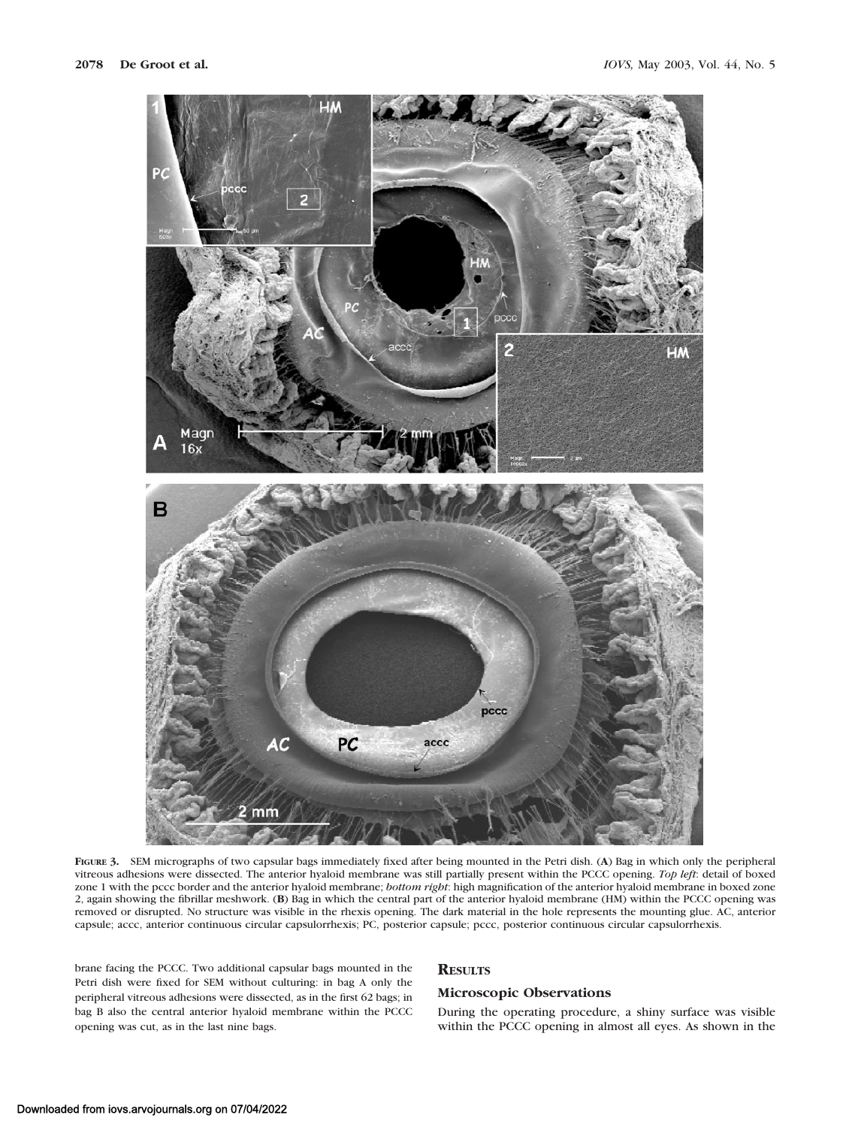

**FIGURE 3.** SEM micrographs of two capsular bags immediately fixed after being mounted in the Petri dish. (**A**) Bag in which only the peripheral vitreous adhesions were dissected. The anterior hyaloid membrane was still partially present within the PCCC opening. *Top left*: detail of boxed zone 1 with the pccc border and the anterior hyaloid membrane; *bottom right*: high magnification of the anterior hyaloid membrane in boxed zone 2, again showing the fibrillar meshwork. (**B**) Bag in which the central part of the anterior hyaloid membrane (HM) within the PCCC opening was removed or disrupted. No structure was visible in the rhexis opening. The dark material in the hole represents the mounting glue. AC, anterior capsule; accc, anterior continuous circular capsulorrhexis; PC, posterior capsule; pccc, posterior continuous circular capsulorrhexis.

brane facing the PCCC. Two additional capsular bags mounted in the Petri dish were fixed for SEM without culturing: in bag A only the peripheral vitreous adhesions were dissected, as in the first 62 bags; in bag B also the central anterior hyaloid membrane within the PCCC opening was cut, as in the last nine bags.

## **RESULTS**

## **Microscopic Observations**

During the operating procedure, a shiny surface was visible within the PCCC opening in almost all eyes. As shown in the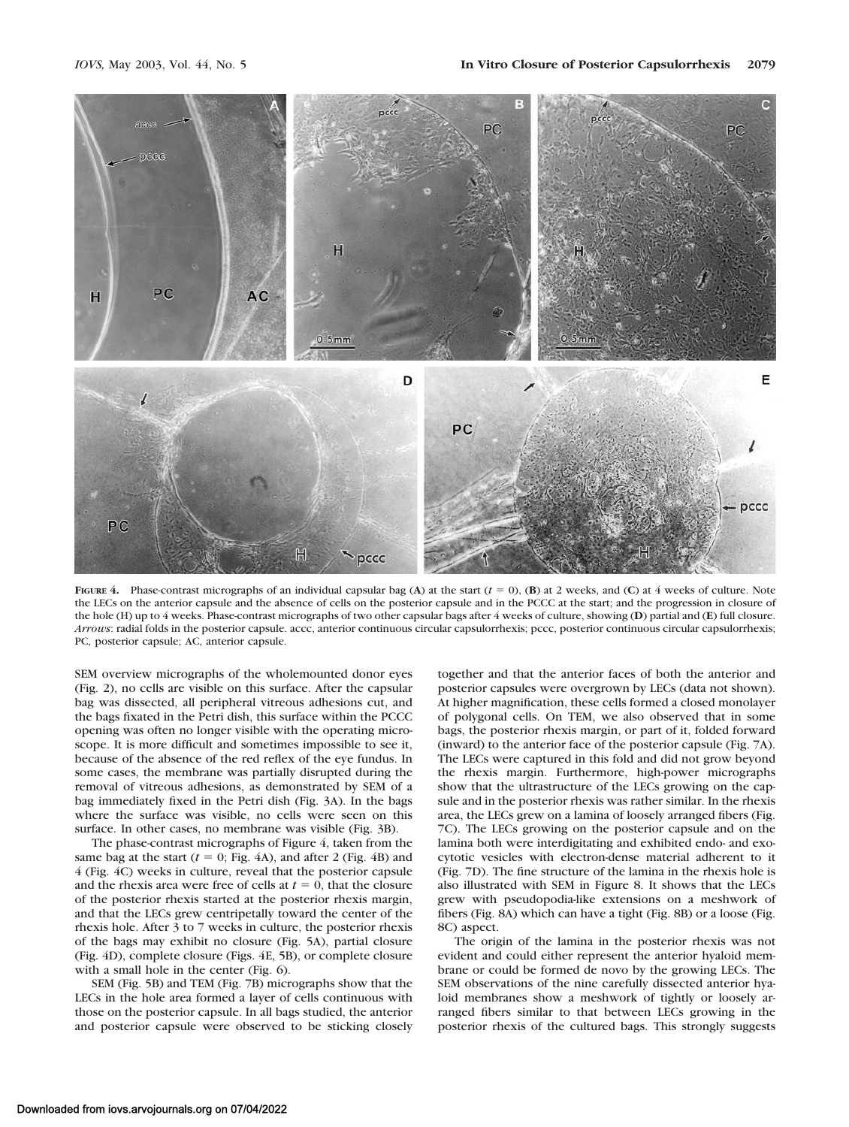

**FIGURE** 4. Phase-contrast micrographs of an individual capsular bag  $(A)$  at the start  $(t = 0)$ ,  $(B)$  at 2 weeks, and  $(C)$  at 4 weeks of culture. Note the LECs on the anterior capsule and the absence of cells on the posterior capsule and in the PCCC at the start; and the progression in closure of the hole (H) up to 4 weeks. Phase-contrast micrographs of two other capsular bags after 4 weeks of culture, showing (**D**) partial and (**E**) full closure. *Arrows*: radial folds in the posterior capsule. accc, anterior continuous circular capsulorrhexis; pccc, posterior continuous circular capsulorrhexis; PC, posterior capsule; AC, anterior capsule.

SEM overview micrographs of the wholemounted donor eyes (Fig. 2), no cells are visible on this surface. After the capsular bag was dissected, all peripheral vitreous adhesions cut, and the bags fixated in the Petri dish, this surface within the PCCC opening was often no longer visible with the operating microscope. It is more difficult and sometimes impossible to see it, because of the absence of the red reflex of the eye fundus. In some cases, the membrane was partially disrupted during the removal of vitreous adhesions, as demonstrated by SEM of a bag immediately fixed in the Petri dish (Fig. 3A). In the bags where the surface was visible, no cells were seen on this surface. In other cases, no membrane was visible (Fig. 3B).

The phase-contrast micrographs of Figure 4, taken from the same bag at the start  $(t = 0)$ ; Fig. 4A), and after 2 (Fig. 4B) and 4 (Fig. 4C) weeks in culture, reveal that the posterior capsule and the rhexis area were free of cells at  $t = 0$ , that the closure of the posterior rhexis started at the posterior rhexis margin, and that the LECs grew centripetally toward the center of the rhexis hole. After 3 to 7 weeks in culture, the posterior rhexis of the bags may exhibit no closure (Fig. 5A), partial closure (Fig. 4D), complete closure (Figs. 4E, 5B), or complete closure with a small hole in the center (Fig. 6).

SEM (Fig. 5B) and TEM (Fig. 7B) micrographs show that the LECs in the hole area formed a layer of cells continuous with those on the posterior capsule. In all bags studied, the anterior and posterior capsule were observed to be sticking closely together and that the anterior faces of both the anterior and posterior capsules were overgrown by LECs (data not shown). At higher magnification, these cells formed a closed monolayer of polygonal cells. On TEM, we also observed that in some bags, the posterior rhexis margin, or part of it, folded forward (inward) to the anterior face of the posterior capsule (Fig. 7A). The LECs were captured in this fold and did not grow beyond the rhexis margin. Furthermore, high-power micrographs show that the ultrastructure of the LECs growing on the capsule and in the posterior rhexis was rather similar. In the rhexis area, the LECs grew on a lamina of loosely arranged fibers (Fig. 7C). The LECs growing on the posterior capsule and on the lamina both were interdigitating and exhibited endo- and exocytotic vesicles with electron-dense material adherent to it (Fig. 7D). The fine structure of the lamina in the rhexis hole is also illustrated with SEM in Figure 8. It shows that the LECs grew with pseudopodia-like extensions on a meshwork of fibers (Fig. 8A) which can have a tight (Fig. 8B) or a loose (Fig. 8C) aspect.

The origin of the lamina in the posterior rhexis was not evident and could either represent the anterior hyaloid membrane or could be formed de novo by the growing LECs. The SEM observations of the nine carefully dissected anterior hyaloid membranes show a meshwork of tightly or loosely arranged fibers similar to that between LECs growing in the posterior rhexis of the cultured bags. This strongly suggests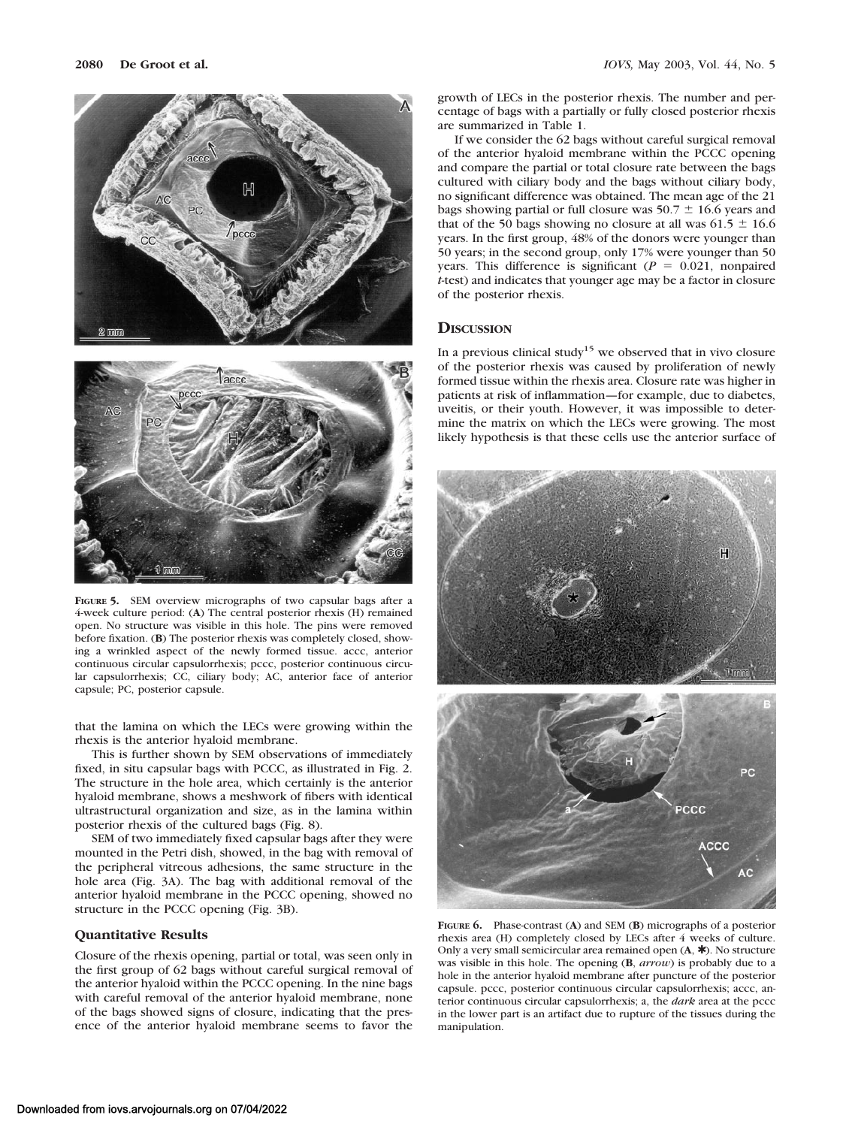



open. No structure was visible in this hole. The pins were removed before fixation. (**B**) The posterior rhexis was completely closed, showing a wrinkled aspect of the newly formed tissue. accc, anterior continuous circular capsulorrhexis; pccc, posterior continuous circular capsulorrhexis; CC, ciliary body; AC, anterior face of anterior capsule; PC, posterior capsule.

that the lamina on which the LECs were growing within the rhexis is the anterior hyaloid membrane.

This is further shown by SEM observations of immediately fixed, in situ capsular bags with PCCC, as illustrated in Fig. 2. The structure in the hole area, which certainly is the anterior hyaloid membrane, shows a meshwork of fibers with identical ultrastructural organization and size, as in the lamina within posterior rhexis of the cultured bags (Fig. 8).

SEM of two immediately fixed capsular bags after they were mounted in the Petri dish, showed, in the bag with removal of the peripheral vitreous adhesions, the same structure in the hole area (Fig. 3A). The bag with additional removal of the anterior hyaloid membrane in the PCCC opening, showed no structure in the PCCC opening (Fig. 3B).

#### **Quantitative Results**

Closure of the rhexis opening, partial or total, was seen only in the first group of 62 bags without careful surgical removal of the anterior hyaloid within the PCCC opening. In the nine bags with careful removal of the anterior hyaloid membrane, none of the bags showed signs of closure, indicating that the presence of the anterior hyaloid membrane seems to favor the growth of LECs in the posterior rhexis. The number and percentage of bags with a partially or fully closed posterior rhexis are summarized in Table 1.

If we consider the 62 bags without careful surgical removal of the anterior hyaloid membrane within the PCCC opening and compare the partial or total closure rate between the bags cultured with ciliary body and the bags without ciliary body, no significant difference was obtained. The mean age of the 21 bags showing partial or full closure was  $50.7 \pm 16.6$  years and that of the 50 bags showing no closure at all was  $61.5 \pm 16.6$ years. In the first group, 48% of the donors were younger than 50 years; in the second group, only 17% were younger than 50 years. This difference is significant  $(P = 0.021,$  nonpaired *t*-test) and indicates that younger age may be a factor in closure of the posterior rhexis.

#### **DISCUSSION**

In a previous clinical study<sup>15</sup> we observed that in vivo closure of the posterior rhexis was caused by proliferation of newly formed tissue within the rhexis area. Closure rate was higher in patients at risk of inflammation—for example, due to diabetes, uveitis, or their youth. However, it was impossible to determine the matrix on which the LECs were growing. The most likely hypothesis is that these cells use the anterior surface of



**FIGURE 6.** Phase-contrast (**A**) and SEM (**B**) micrographs of a posterior rhexis area (H) completely closed by LECs after 4 weeks of culture. Only a very small semicircular area remained open (**A**, ✱). No structure was visible in this hole. The opening (**B**, *arrow*) is probably due to a hole in the anterior hyaloid membrane after puncture of the posterior capsule. pccc, posterior continuous circular capsulorrhexis; accc, anterior continuous circular capsulorrhexis; a, the *dark* area at the pccc in the lower part is an artifact due to rupture of the tissues during the manipulation.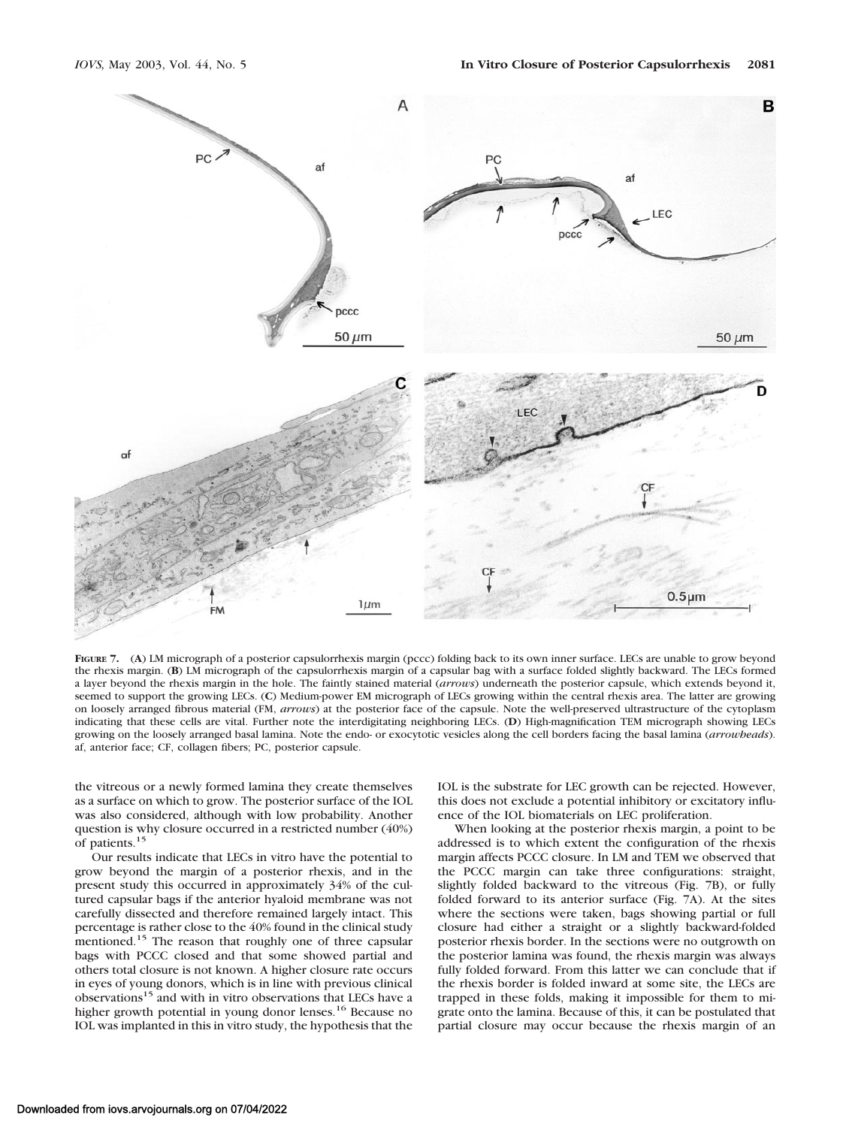

**FIGURE 7.** (**A**) LM micrograph of a posterior capsulorrhexis margin (pccc) folding back to its own inner surface. LECs are unable to grow beyond the rhexis margin. (**B**) LM micrograph of the capsulorrhexis margin of a capsular bag with a surface folded slightly backward. The LECs formed a layer beyond the rhexis margin in the hole. The faintly stained material (*arrows*) underneath the posterior capsule, which extends beyond it, seemed to support the growing LECs. (**C**) Medium-power EM micrograph of LECs growing within the central rhexis area. The latter are growing on loosely arranged fibrous material (FM, *arrows*) at the posterior face of the capsule. Note the well-preserved ultrastructure of the cytoplasm indicating that these cells are vital. Further note the interdigitating neighboring LECs. (**D**) High-magnification TEM micrograph showing LECs growing on the loosely arranged basal lamina. Note the endo- or exocytotic vesicles along the cell borders facing the basal lamina (*arrowheads*). af, anterior face; CF, collagen fibers; PC, posterior capsule.

the vitreous or a newly formed lamina they create themselves as a surface on which to grow. The posterior surface of the IOL was also considered, although with low probability. Another question is why closure occurred in a restricted number (40%) of patients.15

Our results indicate that LECs in vitro have the potential to grow beyond the margin of a posterior rhexis, and in the present study this occurred in approximately 34% of the cultured capsular bags if the anterior hyaloid membrane was not carefully dissected and therefore remained largely intact. This percentage is rather close to the 40% found in the clinical study mentioned.<sup>15</sup> The reason that roughly one of three capsular bags with PCCC closed and that some showed partial and others total closure is not known. A higher closure rate occurs in eyes of young donors, which is in line with previous clinical observations<sup>15</sup> and with in vitro observations that LECs have a higher growth potential in young donor lenses.<sup>16</sup> Because no IOL was implanted in this in vitro study, the hypothesis that the

IOL is the substrate for LEC growth can be rejected. However, this does not exclude a potential inhibitory or excitatory influence of the IOL biomaterials on LEC proliferation.

When looking at the posterior rhexis margin, a point to be addressed is to which extent the configuration of the rhexis margin affects PCCC closure. In LM and TEM we observed that the PCCC margin can take three configurations: straight, slightly folded backward to the vitreous (Fig. 7B), or fully folded forward to its anterior surface (Fig. 7A). At the sites where the sections were taken, bags showing partial or full closure had either a straight or a slightly backward-folded posterior rhexis border. In the sections were no outgrowth on the posterior lamina was found, the rhexis margin was always fully folded forward. From this latter we can conclude that if the rhexis border is folded inward at some site, the LECs are trapped in these folds, making it impossible for them to migrate onto the lamina. Because of this, it can be postulated that partial closure may occur because the rhexis margin of an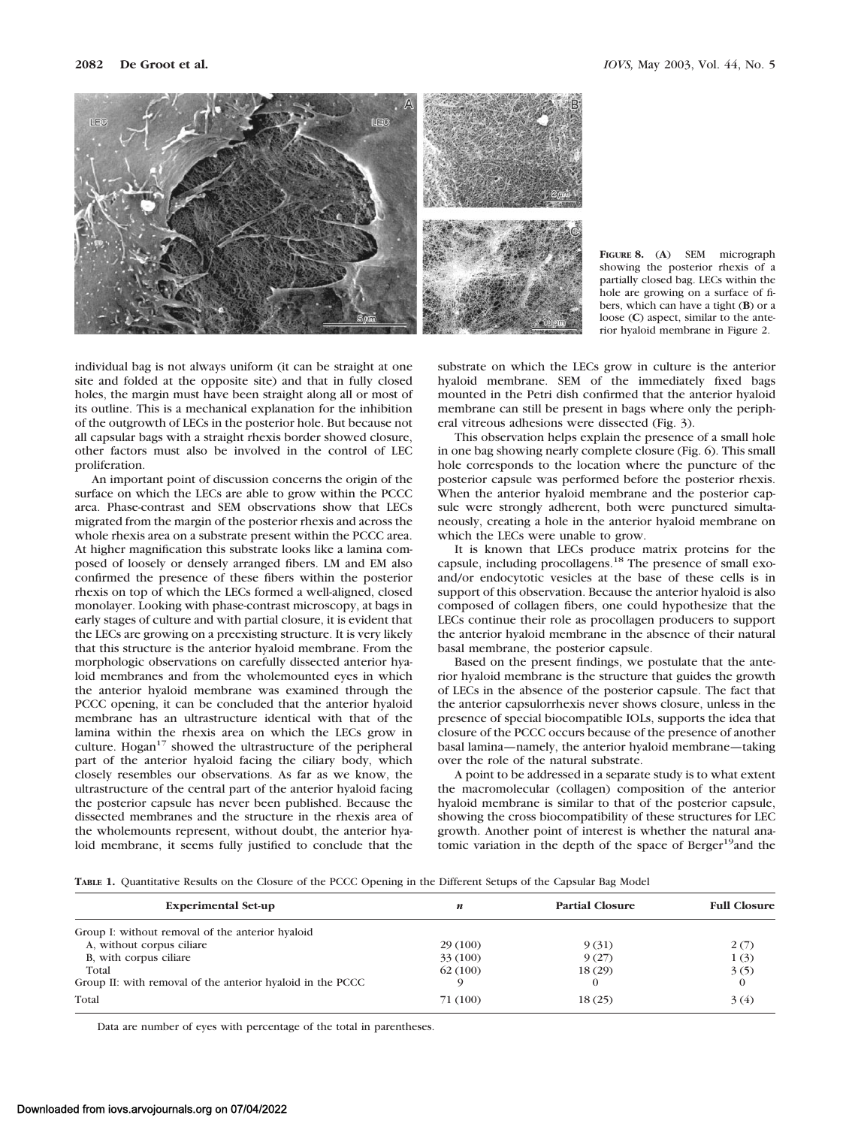

**FIGURE 8.** (**A**) SEM micrograph showing the posterior rhexis of a partially closed bag. LECs within the hole are growing on a surface of fibers, which can have a tight (**B**) or a loose (**C**) aspect, similar to the anterior hyaloid membrane in Figure 2.

individual bag is not always uniform (it can be straight at one site and folded at the opposite site) and that in fully closed holes, the margin must have been straight along all or most of its outline. This is a mechanical explanation for the inhibition of the outgrowth of LECs in the posterior hole. But because not all capsular bags with a straight rhexis border showed closure, other factors must also be involved in the control of LEC proliferation.

An important point of discussion concerns the origin of the surface on which the LECs are able to grow within the PCCC area. Phase-contrast and SEM observations show that LECs migrated from the margin of the posterior rhexis and across the whole rhexis area on a substrate present within the PCCC area. At higher magnification this substrate looks like a lamina composed of loosely or densely arranged fibers. LM and EM also confirmed the presence of these fibers within the posterior rhexis on top of which the LECs formed a well-aligned, closed monolayer. Looking with phase-contrast microscopy, at bags in early stages of culture and with partial closure, it is evident that the LECs are growing on a preexisting structure. It is very likely that this structure is the anterior hyaloid membrane. From the morphologic observations on carefully dissected anterior hyaloid membranes and from the wholemounted eyes in which the anterior hyaloid membrane was examined through the PCCC opening, it can be concluded that the anterior hyaloid membrane has an ultrastructure identical with that of the lamina within the rhexis area on which the LECs grow in culture. Hogan $17$  showed the ultrastructure of the peripheral part of the anterior hyaloid facing the ciliary body, which closely resembles our observations. As far as we know, the ultrastructure of the central part of the anterior hyaloid facing the posterior capsule has never been published. Because the dissected membranes and the structure in the rhexis area of the wholemounts represent, without doubt, the anterior hyaloid membrane, it seems fully justified to conclude that the

substrate on which the LECs grow in culture is the anterior hyaloid membrane. SEM of the immediately fixed bags mounted in the Petri dish confirmed that the anterior hyaloid membrane can still be present in bags where only the peripheral vitreous adhesions were dissected (Fig. 3).

This observation helps explain the presence of a small hole in one bag showing nearly complete closure (Fig. 6). This small hole corresponds to the location where the puncture of the posterior capsule was performed before the posterior rhexis. When the anterior hyaloid membrane and the posterior capsule were strongly adherent, both were punctured simultaneously, creating a hole in the anterior hyaloid membrane on which the LECs were unable to grow.

It is known that LECs produce matrix proteins for the capsule, including procollagens.<sup>18</sup> The presence of small exoand/or endocytotic vesicles at the base of these cells is in support of this observation. Because the anterior hyaloid is also composed of collagen fibers, one could hypothesize that the LECs continue their role as procollagen producers to support the anterior hyaloid membrane in the absence of their natural basal membrane, the posterior capsule.

Based on the present findings, we postulate that the anterior hyaloid membrane is the structure that guides the growth of LECs in the absence of the posterior capsule. The fact that the anterior capsulorrhexis never shows closure, unless in the presence of special biocompatible IOLs, supports the idea that closure of the PCCC occurs because of the presence of another basal lamina—namely, the anterior hyaloid membrane—taking over the role of the natural substrate.

A point to be addressed in a separate study is to what extent the macromolecular (collagen) composition of the anterior hyaloid membrane is similar to that of the posterior capsule, showing the cross biocompatibility of these structures for LEC growth. Another point of interest is whether the natural anatomic variation in the depth of the space of Berger<sup>19</sup>and the

**TABLE 1.** Quantitative Results on the Closure of the PCCC Opening in the Different Setups of the Capsular Bag Model

| <b>Experimental Set-up</b>                                 | n        | <b>Partial Closure</b> | <b>Full Closure</b> |
|------------------------------------------------------------|----------|------------------------|---------------------|
| Group I: without removal of the anterior hyaloid           |          |                        |                     |
| A, without corpus ciliare                                  | 29 (100) | 9 (31)                 | 2(7)                |
| B, with corpus ciliare                                     | 33 (100) | 9(27)                  | 1(3)                |
| Total                                                      | 62(100)  | 18 (29)                | 3(5)                |
| Group II: with removal of the anterior hyaloid in the PCCC |          |                        |                     |
| Total                                                      | 71 (100) | 18(25)                 | 3(4)                |

Data are number of eyes with percentage of the total in parentheses.